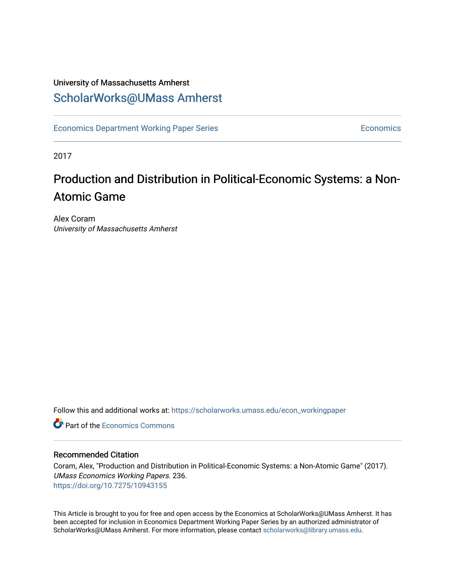## University of Massachusetts Amherst [ScholarWorks@UMass Amherst](https://scholarworks.umass.edu/)

[Economics Department Working Paper Series](https://scholarworks.umass.edu/econ_workingpaper) **Economics** Economics

2017

# Production and Distribution in Political-Economic Systems: a Non-Atomic Game

Alex Coram University of Massachusetts Amherst

Follow this and additional works at: [https://scholarworks.umass.edu/econ\\_workingpaper](https://scholarworks.umass.edu/econ_workingpaper?utm_source=scholarworks.umass.edu%2Fecon_workingpaper%2F236&utm_medium=PDF&utm_campaign=PDFCoverPages) 

**C** Part of the [Economics Commons](http://network.bepress.com/hgg/discipline/340?utm_source=scholarworks.umass.edu%2Fecon_workingpaper%2F236&utm_medium=PDF&utm_campaign=PDFCoverPages)

### Recommended Citation

Coram, Alex, "Production and Distribution in Political-Economic Systems: a Non-Atomic Game" (2017). UMass Economics Working Papers. 236. <https://doi.org/10.7275/10943155>

This Article is brought to you for free and open access by the Economics at ScholarWorks@UMass Amherst. It has been accepted for inclusion in Economics Department Working Paper Series by an authorized administrator of ScholarWorks@UMass Amherst. For more information, please contact [scholarworks@library.umass.edu.](mailto:scholarworks@library.umass.edu)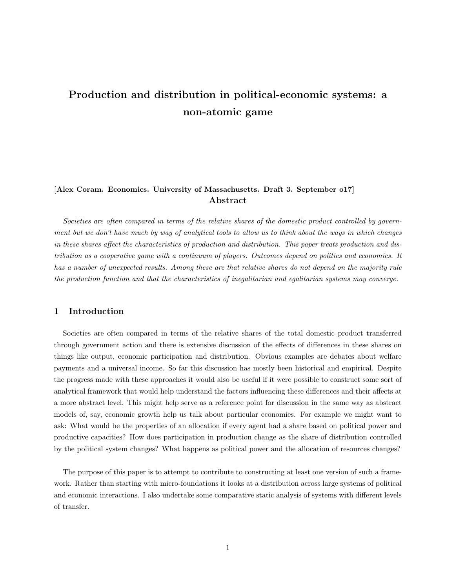## Production and distribution in political-economic systems: a non-atomic game

## [Alex Coram. Economics. University of Massachusetts. Draft 3. September o17] Abstract

Societies are often compared in terms of the relative shares of the domestic product controlled by government but we don't have much by way of analytical tools to allow us to think about the ways in which changes in these shares affect the characteristics of production and distribution. This paper treats production and distribution as a cooperative game with a continuum of players. Outcomes depend on politics and economics. It has a number of unexpected results. Among these are that relative shares do not depend on the majority rule the production function and that the characteristics of inegalitarian and egalitarian systems may converge.

#### 1 Introduction

Societies are often compared in terms of the relative shares of the total domestic product transferred through government action and there is extensive discussion of the effects of differences in these shares on things like output, economic participation and distribution. Obvious examples are debates about welfare payments and a universal income. So far this discussion has mostly been historical and empirical. Despite the progress made with these approaches it would also be useful if it were possible to construct some sort of analytical framework that would help understand the factors influencing these differences and their affects at a more abstract level. This might help serve as a reference point for discussion in the same way as abstract models of, say, economic growth help us talk about particular economies. For example we might want to ask: What would be the properties of an allocation if every agent had a share based on political power and productive capacities? How does participation in production change as the share of distribution controlled by the political system changes? What happens as political power and the allocation of resources changes?

The purpose of this paper is to attempt to contribute to constructing at least one version of such a framework. Rather than starting with micro-foundations it looks at a distribution across large systems of political and economic interactions. I also undertake some comparative static analysis of systems with different levels of transfer.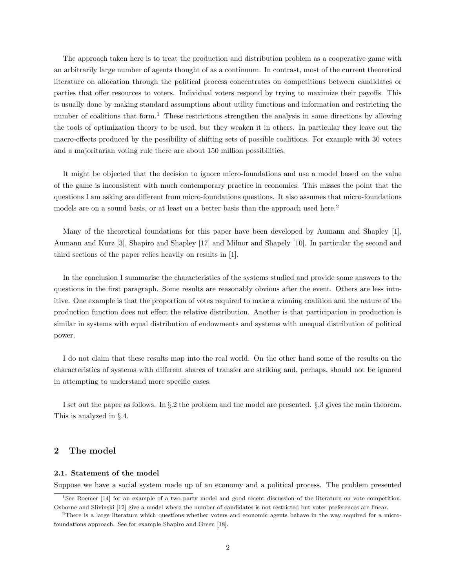The approach taken here is to treat the production and distribution problem as a cooperative game with an arbitrarily large number of agents thought of as a continuum. In contrast, most of the current theoretical literature on allocation through the political process concentrates on competitions between candidates or parties that offer resources to voters. Individual voters respond by trying to maximize their payoffs. This is usually done by making standard assumptions about utility functions and information and restricting the number of coalitions that form.<sup>1</sup> These restrictions strengthen the analysis in some directions by allowing the tools of optimization theory to be used, but they weaken it in others. In particular they leave out the macro-effects produced by the possibility of shifting sets of possible coalitions. For example with 30 voters and a majoritarian voting rule there are about 150 million possibilities.

It might be objected that the decision to ignore micro-foundations and use a model based on the value of the game is inconsistent with much contemporary practice in economics. This misses the point that the questions I am asking are different from micro-foundations questions. It also assumes that micro-foundations models are on a sound basis, or at least on a better basis than the approach used here.<sup>2</sup>

Many of the theoretical foundations for this paper have been developed by Aumann and Shapley [1], Aumann and Kurz [3], Shapiro and Shapley [17] and Milnor and Shapely [10]. In particular the second and third sections of the paper relies heavily on results in [1].

In the conclusion I summarise the characteristics of the systems studied and provide some answers to the questions in the first paragraph. Some results are reasonably obvious after the event. Others are less intuitive. One example is that the proportion of votes required to make a winning coalition and the nature of the production function does not effect the relative distribution. Another is that participation in production is similar in systems with equal distribution of endowments and systems with unequal distribution of political power.

I do not claim that these results map into the real world. On the other hand some of the results on the characteristics of systems with different shares of transfer are striking and, perhaps, should not be ignored in attempting to understand more specific cases.

I set out the paper as follows. In §.2 the problem and the model are presented. §.3 gives the main theorem. This is analyzed in §.4.

#### 2 The model

#### 2.1. Statement of the model

Suppose we have a social system made up of an economy and a political process. The problem presented

<sup>1</sup>See Roemer [14] for an example of a two party model and good recent discussion of the literature on vote competition. Osborne and Slivinski [12] give a model where the number of candidates is not restricted but voter preferences are linear.

<sup>&</sup>lt;sup>2</sup>There is a large literature which questions whether voters and economic agents behave in the way required for a microfoundations approach. See for example Shapiro and Green [18].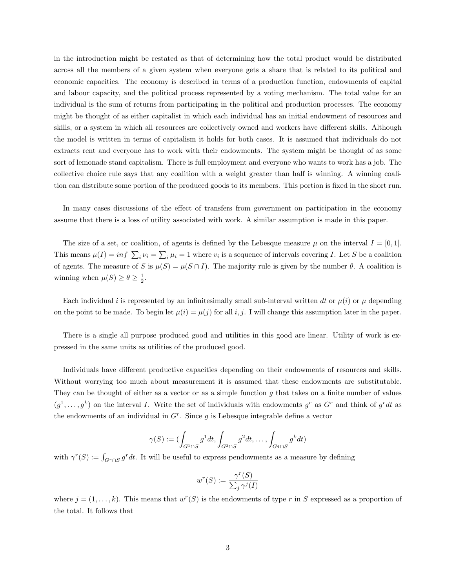in the introduction might be restated as that of determining how the total product would be distributed across all the members of a given system when everyone gets a share that is related to its political and economic capacities. The economy is described in terms of a production function, endowments of capital and labour capacity, and the political process represented by a voting mechanism. The total value for an individual is the sum of returns from participating in the political and production processes. The economy might be thought of as either capitalist in which each individual has an initial endowment of resources and skills, or a system in which all resources are collectively owned and workers have different skills. Although the model is written in terms of capitalism it holds for both cases. It is assumed that individuals do not extracts rent and everyone has to work with their endowments. The system might be thought of as some sort of lemonade stand capitalism. There is full employment and everyone who wants to work has a job. The collective choice rule says that any coalition with a weight greater than half is winning. A winning coalition can distribute some portion of the produced goods to its members. This portion is fixed in the short run.

In many cases discussions of the effect of transfers from government on participation in the economy assume that there is a loss of utility associated with work. A similar assumption is made in this paper.

The size of a set, or coalition, of agents is defined by the Lebesque measure  $\mu$  on the interval  $I = [0, 1]$ . This means  $\mu(I) = \inf \sum_i \nu_i = \sum_i \mu_i = 1$  where  $v_i$  is a sequence of intervals covering I. Let S be a coalition of agents. The measure of S is  $\mu(S) = \mu(S \cap I)$ . The majority rule is given by the number  $\theta$ . A coalition is winning when  $\mu(S) \ge \theta \ge \frac{1}{2}$ .

Each individual i is represented by an infinitesimally small sub-interval written dt or  $\mu(i)$  or  $\mu$  depending on the point to be made. To begin let  $\mu(i) = \mu(j)$  for all i, j. I will change this assumption later in the paper.

There is a single all purpose produced good and utilities in this good are linear. Utility of work is expressed in the same units as utilities of the produced good.

Individuals have different productive capacities depending on their endowments of resources and skills. Without worrying too much about measurement it is assumed that these endowments are substitutable. They can be thought of either as a vector or as a simple function  $g$  that takes on a finite number of values  $(g^1, \ldots, g^k)$  on the interval I. Write the set of individuals with endowments  $g^r$  as  $G^r$  and think of  $g^r dt$  as the endowments of an individual in  $G<sup>r</sup>$ . Since g is Lebesque integrable define a vector

$$
\gamma(S) := (\int_{G^1 \cap S} g^1 dt, \int_{G^2 \cap S} g^2 dt, \dots, \int_{G^q \cap S} g^k dt)
$$

with  $\gamma^r(S) := \int_{G^r \cap S} g^r dt$ . It will be useful to express pendowments as a measure by defining

$$
w^r(S) := \frac{\gamma^r(S)}{\sum_j \gamma^j(I)}
$$

where  $j = (1, \ldots, k)$ . This means that  $w^r(S)$  is the endowments of type r in S expressed as a proportion of the total. It follows that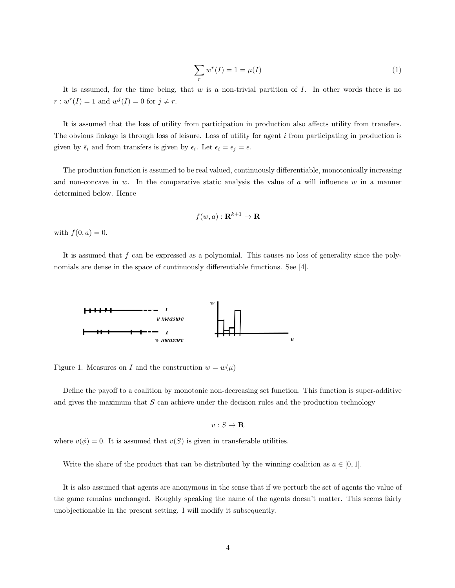$$
\sum_{r} w^{r}(I) = 1 = \mu(I) \tag{1}
$$

It is assumed, for the time being, that  $w$  is a non-trivial partition of  $I$ . In other words there is no  $r: w^{r}(I) = 1$  and  $w^{j}(I) = 0$  for  $j \neq r$ .

It is assumed that the loss of utility from participation in production also affects utility from transfers. The obvious linkage is through loss of leisure. Loss of utility for agent i from participating in production is given by  $\bar{\epsilon}_i$  and from transfers is given by  $\epsilon_i$ . Let  $\epsilon_i = \epsilon_j = \epsilon$ .

The production function is assumed to be real valued, continuously differentiable, monotonically increasing and non-concave in w. In the comparative static analysis the value of a will influence  $w$  in a manner determined below. Hence

$$
f(w, a) : \mathbf{R}^{k+1} \to \mathbf{R}
$$

with  $f(0, a) = 0$ .

It is assumed that  $f$  can be expressed as a polynomial. This causes no loss of generality since the polynomials are dense in the space of continuously differentiable functions. See [4].



Figure 1. Measures on I and the construction  $w = w(\mu)$ 

Define the payoff to a coalition by monotonic non-decreasing set function. This function is super-additive and gives the maximum that  $S$  can achieve under the decision rules and the production technology

$$
v:S\to {\bf R}
$$

where  $v(\phi) = 0$ . It is assumed that  $v(S)$  is given in transferable utilities.

Write the share of the product that can be distributed by the winning coalition as  $a \in [0, 1]$ .

It is also assumed that agents are anonymous in the sense that if we perturb the set of agents the value of the game remains unchanged. Roughly speaking the name of the agents doesn't matter. This seems fairly unobjectionable in the present setting. I will modify it subsequently.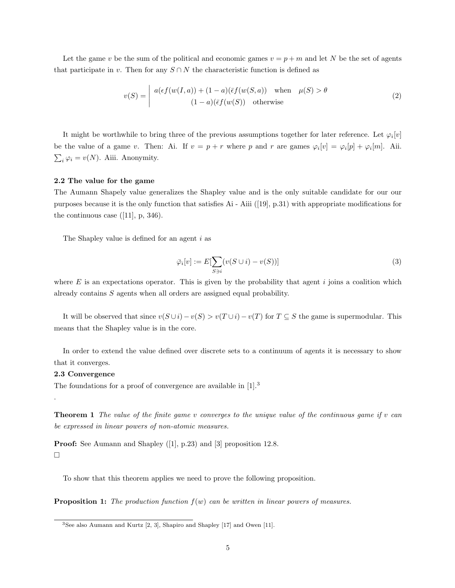Let the game v be the sum of the political and economic games  $v = p + m$  and let N be the set of agents that participate in v. Then for any  $S \cap N$  the characteristic function is defined as

$$
v(S) = \begin{vmatrix} a(\epsilon f(w(I, a)) + (1 - a)(\bar{\epsilon} f(w(S, a)) & \text{when } \mu(S) > \theta \\ (1 - a)(\bar{\epsilon} f(w(S)) & \text{otherwise} \end{vmatrix}
$$
 (2)

It might be worthwhile to bring three of the previous assumptions together for later reference. Let  $\varphi_i[v]$ be the value of a game v. Then: Ai. If  $v = p + r$  where p and r are games  $\varphi_i[v] = \varphi_i[p] + \varphi_i[m]$ . Aii.  $\sum_i \varphi_i = v(N)$ . Aiii. Anonymity.

#### 2.2 The value for the game

The Aumann Shapely value generalizes the Shapley value and is the only suitable candidate for our our purposes because it is the only function that satisfies Ai - Aiii ([19], p.31) with appropriate modifications for the continuous case  $([11], p, 346)$ .

The Shapley value is defined for an agent i as

$$
\bar{\varphi}_i[v] := E[\sum_{S \ni i} (v(S \cup i) - v(S))]
$$
\n(3)

where  $E$  is an expectations operator. This is given by the probability that agent  $i$  joins a coalition which already contains S agents when all orders are assigned equal probability.

It will be observed that since  $v(S \cup i) - v(S) > v(T \cup i) - v(T)$  for  $T \subseteq S$  the game is supermodular. This means that the Shapley value is in the core.

In order to extend the value defined over discrete sets to a continuum of agents it is necessary to show that it converges.

#### 2.3 Convergence

.

The foundations for a proof of convergence are available in  $[1].^3$ 

**Theorem 1** The value of the finite game v converges to the unique value of the continuous game if v can be expressed in linear powers of non-atomic measures.

Proof: See Aumann and Shapley ([1], p.23) and [3] proposition 12.8.  $\Box$ 

To show that this theorem applies we need to prove the following proposition.

**Proposition 1:** The production function  $f(w)$  can be written in linear powers of measures.

<sup>3</sup>See also Aumann and Kurtz [2, 3], Shapiro and Shapley [17] and Owen [11].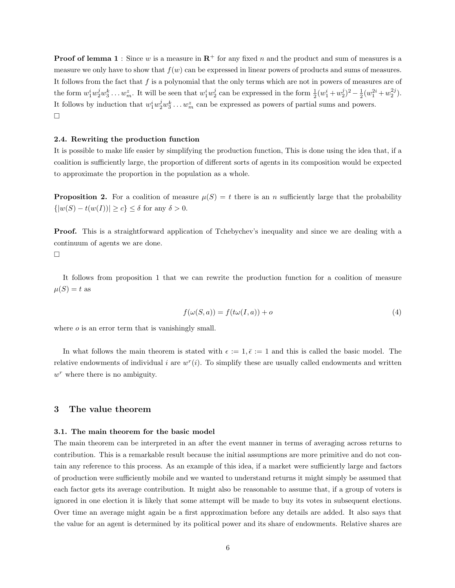**Proof of lemma 1**: Since w is a measure in  $\mathbb{R}^+$  for any fixed n and the product and sum of measures is a measure we only have to show that  $f(w)$  can be expressed in linear powers of products and sums of measures. It follows from the fact that  $f$  is a polynomial that the only terms which are not in powers of measures are of the form  $w_1^iw_2^jw_3^k \ldots w_m^z$ . It will be seen that  $w_1^iw_2^j$  can be expressed in the form  $\frac{1}{2}(w_1^i + w_2^j)^2 - \frac{1}{2}(w_1^{2i} + w_2^{2j})$ . It follows by induction that  $w_1^iw_2^jw_3^k \dots w_m^z$  can be expressed as powers of partial sums and powers.  $\Box$ 

#### 2.4. Rewriting the production function

It is possible to make life easier by simplifying the production function, This is done using the idea that, if a coalition is sufficiently large, the proportion of different sorts of agents in its composition would be expected to approximate the proportion in the population as a whole.

**Proposition 2.** For a coalition of measure  $\mu(S) = t$  there is an n sufficiently large that the probability  $\{|w(S) - t(w(I))| \geq c\} \leq \delta$  for any  $\delta > 0$ .

Proof. This is a straightforward application of Tchebychev's inequality and since we are dealing with a continuum of agents we are done.

 $\Box$ 

It follows from proposition 1 that we can rewrite the production function for a coalition of measure  $\mu(S) = t$  as

$$
f(\omega(S, a)) = f(t\omega(I, a)) + o \tag{4}
$$

where *o* is an error term that is vanishingly small.

In what follows the main theorem is stated with  $\epsilon := 1, \bar{\epsilon} := 1$  and this is called the basic model. The relative endowments of individual i are  $w<sup>r</sup>(i)$ . To simplify these are usually called endowments and written  $w<sup>r</sup>$  where there is no ambiguity.

#### 3 The value theorem

#### 3.1. The main theorem for the basic model

The main theorem can be interpreted in an after the event manner in terms of averaging across returns to contribution. This is a remarkable result because the initial assumptions are more primitive and do not contain any reference to this process. As an example of this idea, if a market were sufficiently large and factors of production were sufficiently mobile and we wanted to understand returns it might simply be assumed that each factor gets its average contribution. It might also be reasonable to assume that, if a group of voters is ignored in one election it is likely that some attempt will be made to buy its votes in subsequent elections. Over time an average might again be a first approximation before any details are added. It also says that the value for an agent is determined by its political power and its share of endowments. Relative shares are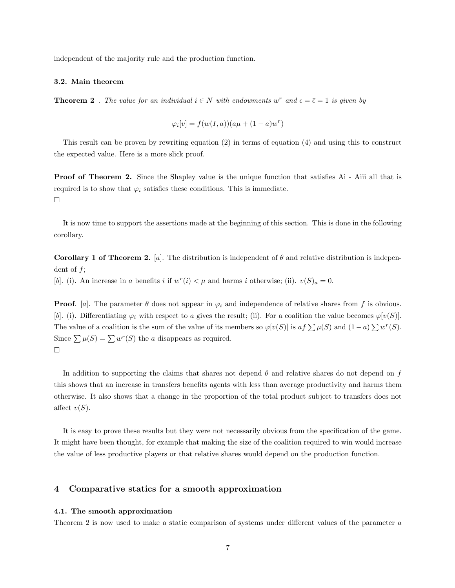independent of the majority rule and the production function.

#### 3.2. Main theorem

**Theorem 2**. The value for an individual  $i \in N$  with endowments w<sup>r</sup> and  $\epsilon = \bar{\epsilon} = 1$  is given by

$$
\varphi_i[v] = f(w(I, a))(a\mu + (1 - a)w^r)
$$

This result can be proven by rewriting equation (2) in terms of equation (4) and using this to construct the expected value. Here is a more slick proof.

Proof of Theorem 2. Since the Shapley value is the unique function that satisfies Ai - Aiii all that is required is to show that  $\varphi_i$  satisfies these conditions. This is immediate.  $\Box$ 

It is now time to support the assertions made at the beginning of this section. This is done in the following corollary.

Corollary 1 of Theorem 2. [a]. The distribution is independent of  $\theta$  and relative distribution is independent of  $f$ ;

[b]. (i). An increase in a benefits i if  $w^r(i) < \mu$  and harms i otherwise; (ii).  $v(S)_a = 0$ .

**Proof.** [a]. The parameter  $\theta$  does not appear in  $\varphi_i$  and independence of relative shares from f is obvious. [b]. (i). Differentiating  $\varphi_i$  with respect to a gives the result; (ii). For a coalition the value becomes  $\varphi[v(S)]$ . The value of a coalition is the sum of the value of its members so  $\varphi[v(S)]$  is  $af \sum \mu(S)$  and  $(1-a) \sum w^{r}(S)$ . Since  $\sum \mu(S) = \sum w^{r}(S)$  the a disappears as required.  $\Box$ 

In addition to supporting the claims that shares not depend  $\theta$  and relative shares do not depend on f this shows that an increase in transfers benefits agents with less than average productivity and harms them otherwise. It also shows that a change in the proportion of the total product subject to transfers does not affect  $v(S)$ .

It is easy to prove these results but they were not necessarily obvious from the specification of the game. It might have been thought, for example that making the size of the coalition required to win would increase the value of less productive players or that relative shares would depend on the production function.

#### 4 Comparative statics for a smooth approximation

#### 4.1. The smooth approximation

Theorem 2 is now used to make a static comparison of systems under different values of the parameter a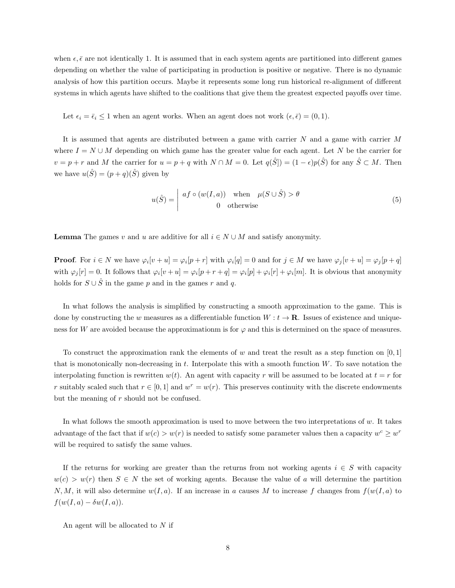when  $\epsilon, \bar{\epsilon}$  are not identically 1. It is assumed that in each system agents are partitioned into different games depending on whether the value of participating in production is positive or negative. There is no dynamic analysis of how this partition occurs. Maybe it represents some long run historical re-alignment of different systems in which agents have shifted to the coalitions that give them the greatest expected payoffs over time.

Let  $\epsilon_i = \bar{\epsilon}_i \leq 1$  when an agent works. When an agent does not work  $(\epsilon, \bar{\epsilon}) = (0, 1)$ .

It is assumed that agents are distributed between a game with carrier  $N$  and a game with carrier  $M$ where  $I = N \cup M$  depending on which game has the greater value for each agent. Let N be the carrier for  $v = p + r$  and M the carrier for  $u = p + q$  with  $N \cap M = 0$ . Let  $q(\hat{S}) = (1 - \epsilon)p(\hat{S})$  for any  $\hat{S} \subset M$ . Then we have  $u(\hat{S}) = (p+q)(\hat{S})$  given by

$$
u(\hat{S}) = \begin{vmatrix} af \circ (w(I, a)) & \text{when } \mu(S \cup \hat{S}) > \theta \\ 0 & \text{otherwise} \end{vmatrix}
$$
 (5)

**Lemma** The games v and u are additive for all  $i \in N \cup M$  and satisfy anonymity.

**Proof.** For  $i \in N$  we have  $\varphi_i[v+u] = \varphi_i[p+r]$  with  $\varphi_i[q] = 0$  and for  $j \in M$  we have  $\varphi_j[v+u] = \varphi_j[p+q]$ with  $\varphi_j[r] = 0$ . It follows that  $\varphi_i[v+u] = \varphi_i[p+r+q] = \varphi_i[p] + \varphi_i[r] + \varphi_i[m]$ . It is obvious that anonymity holds for  $S \cup \hat{S}$  in the game p and in the games r and q.

In what follows the analysis is simplified by constructing a smooth approximation to the game. This is done by constructing the w measures as a differentiable function  $W : t \to \mathbf{R}$ . Issues of existence and uniqueness for W are avoided because the approximationm is for  $\varphi$  and this is determined on the space of measures.

To construct the approximation rank the elements of w and treat the result as a step function on  $[0,1]$ that is monotonically non-decreasing in  $t$ . Interpolate this with a smooth function  $W$ . To save notation the interpolating function is rewritten  $w(t)$ . An agent with capacity r will be assumed to be located at  $t = r$  for r suitably scaled such that  $r \in [0, 1]$  and  $w^r = w(r)$ . This preserves continuity with the discrete endowments but the meaning of r should not be confused.

In what follows the smooth approximation is used to move between the two interpretations of w. It takes advantage of the fact that if  $w(c) > w(r)$  is needed to satisfy some parameter values then a capacity  $w^c \geq w^r$ will be required to satisfy the same values.

If the returns for working are greater than the returns from not working agents  $i \in S$  with capacity  $w(c) > w(r)$  then  $S \in N$  the set of working agents. Because the value of a will determine the partition N, M, it will also determine  $w(I, a)$ . If an increase in a causes M to increase f changes from  $f(w(I, a)$  to  $f(w(I, a) - \delta w(I, a)).$ 

An agent will be allocated to N if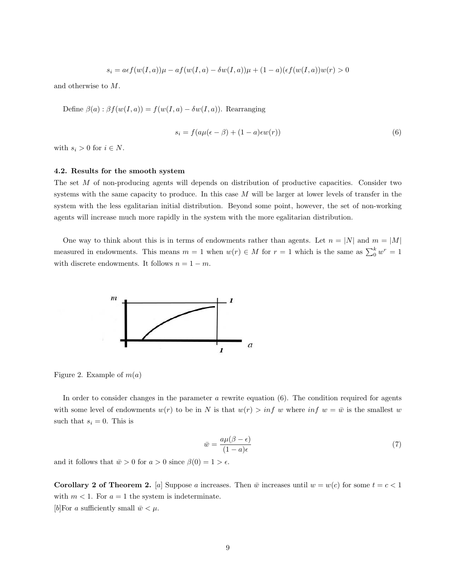$$
s_i = a \epsilon f(w(I, a))\mu - af(w(I, a) - \delta w(I, a))\mu + (1 - a)(\epsilon f(w(I, a))w(r) > 0
$$

and otherwise to M.

Define  $\beta(a) : \beta f(w(I, a)) = f(w(I, a) - \delta w(I, a))$ . Rearranging

$$
s_i = f(a\mu(\epsilon - \beta) + (1 - a)\epsilon w(r))\tag{6}
$$

with  $s_i > 0$  for  $i \in N$ .

#### 4.2. Results for the smooth system

The set M of non-producing agents will depends on distribution of productive capacities. Consider two systems with the same capacity to produce. In this case  $M$  will be larger at lower levels of transfer in the system with the less egalitarian initial distribution. Beyond some point, however, the set of non-working agents will increase much more rapidly in the system with the more egalitarian distribution.

One way to think about this is in terms of endowments rather than agents. Let  $n = |N|$  and  $m = |M|$ measured in endowments. This means  $m = 1$  when  $w(r) \in M$  for  $r = 1$  which is the same as  $\sum_0^k w^r = 1$ with discrete endowments. It follows  $n = 1 - m$ .



Figure 2. Example of  $m(a)$ 

In order to consider changes in the parameter  $a$  rewrite equation (6). The condition required for agents with some level of endowments  $w(r)$  to be in N is that  $w(r) > inf w$  where  $inf w = \bar{w}$  is the smallest w such that  $s_i = 0$ . This is

$$
\bar{w} = \frac{a\mu(\beta - \epsilon)}{(1 - a)\epsilon} \tag{7}
$$

and it follows that  $\bar{w} > 0$  for  $a > 0$  since  $\beta(0) = 1 > \epsilon$ .

Corollary 2 of Theorem 2. [a] Suppose a increases. Then  $\bar{w}$  increases until  $w = w(c)$  for some  $t = c < 1$ with  $m < 1$ . For  $a = 1$  the system is indeterminate. [b] For a sufficiently small  $\bar{w} < \mu$ .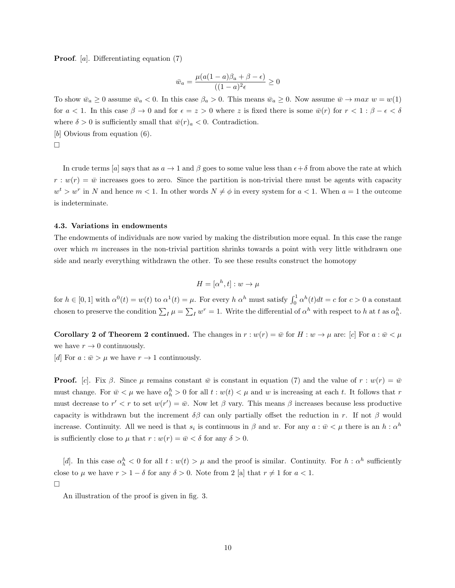Proof. [a]. Differentiating equation (7)

$$
\bar{w}_a = \frac{\mu(a(1-a)\beta_a + \beta - \epsilon)}{((1-a)^2 \epsilon)} \ge 0
$$

To show  $\bar{w}_a \ge 0$  assume  $\bar{w}_a < 0$ . In this case  $\beta_a > 0$ . This means  $\bar{w}_a \ge 0$ . Now assume  $\bar{w} \to max w = w(1)$ for  $a < 1$ . In this case  $\beta \to 0$  and for  $\epsilon = z > 0$  where z is fixed there is some  $\bar{w}(r)$  for  $r < 1 : \beta - \epsilon < \delta$ where  $\delta > 0$  is sufficiently small that  $\bar{w}(r)_a < 0$ . Contradiction. [b] Obvious from equation  $(6)$ .

 $\Box$ 

In crude terms [a] says that as  $a \to 1$  and  $\beta$  goes to some value less than  $\epsilon + \delta$  from above the rate at which  $r : w(r) = \bar{w}$  increases goes to zero. Since the partition is non-trivial there must be agents with capacity  $w^t > w^r$  in N and hence  $m < 1$ . In other words  $N \neq \phi$  in every system for  $a < 1$ . When  $a = 1$  the outcome is indeterminate.

#### 4.3. Variations in endowments

The endowments of individuals are now varied by making the distribution more equal. In this case the range over which  $m$  increases in the non-trivial partition shrinks towards a point with very little withdrawn one side and nearly everything withdrawn the other. To see these results construct the homotopy

$$
H = [\alpha^h, t] : w \to \mu
$$

for  $h \in [0,1]$  with  $\alpha^{0}(t) = w(t)$  to  $\alpha^{1}(t) = \mu$ . For every  $h \alpha^{h}$  must satisfy  $\int_0^1 \alpha^{h}(t)dt = c$  for  $c > 0$  a constant chosen to preserve the condition  $\sum_I \mu = \sum_I w^r = 1$ . Write the differential of  $\alpha^h$  with respect to h at t as  $\alpha_h^h$ .

**Corollary 2 of Theorem 2 continued.** The changes in  $r : w(r) = \bar{w}$  for  $H : w \to \mu$  are: [c] For  $a : \bar{w} \lt \mu$ we have  $r \to 0$  continuously.

[d] For  $a : \bar{w} > \mu$  we have  $r \to 1$  continuously.

**Proof.** [c]. Fix  $\beta$ . Since  $\mu$  remains constant  $\bar{w}$  is constant in equation (7) and the value of  $r : w(r) = \bar{w}$ must change. For  $\bar{w} < \mu$  we have  $\alpha_h^h > 0$  for all  $t : w(t) < \mu$  and w is increasing at each t. It follows that r must decrease to  $r' < r$  to set  $w(r') = \bar{w}$ . Now let  $\beta$  vary. This means  $\beta$  increases because less productive capacity is withdrawn but the increment  $\delta\beta$  can only partially offset the reduction in r. If not  $\beta$  would increase. Continuity. All we need is that  $s_i$  is continuous in  $\beta$  and w. For any  $a: \bar{w} \lt \mu$  there is an  $h: \alpha^h$ is sufficiently close to  $\mu$  that  $r : w(r) = \bar{w} < \delta$  for any  $\delta > 0$ .

[d]. In this case  $\alpha_h^h < 0$  for all  $t : w(t) > \mu$  and the proof is similar. Continuity. For  $h : \alpha^h$  sufficiently close to  $\mu$  we have  $r > 1 - \delta$  for any  $\delta > 0$ . Note from 2 [a] that  $r \neq 1$  for  $a < 1$ .  $\Box$ 

An illustration of the proof is given in fig. 3.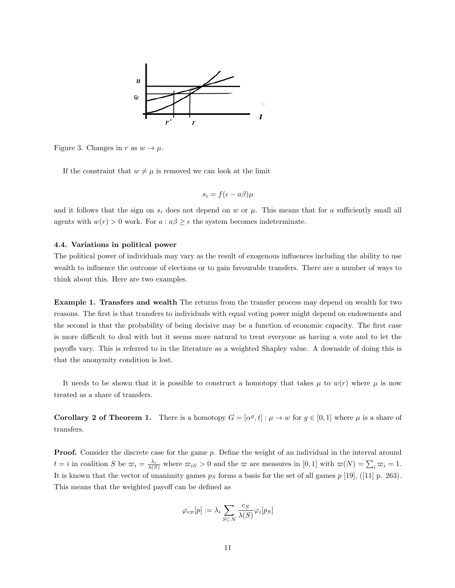

Figure 3. Changes in r as  $w \to \mu$ .

If the constraint that  $w \neq \mu$  is removed we can look at the limit

$$
s_i = f(\epsilon - a\beta)\mu
$$

and it follows that the sign on  $s_i$  does not depend on w or  $\mu$ . This means that for a sufficiently small all agents with  $w(r) > 0$  work. For  $a : a\beta \geq \epsilon$  the system becomes indeterminate.

#### 4.4. Variations in political power

The political power of individuals may vary as the result of exogenous influences including the ability to use wealth to influence the outcome of elections or to gain favourable transfers. There are a number of ways to think about this. Here are two examples.

Example 1. Transfers and wealth The returns from the transfer process may depend on wealth for two reasons. The first is that transfers to individuals with equal voting power might depend on endowments and the second is that the probability of being decisive may be a function of economic capacity. The first case is more difficult to deal with but it seems more natural to treat everyone as having a vote and to let the payoffs vary. This is referred to in the literature as a weighted Shapley value. A downside of doing this is that the anonymity condition is lost.

It needs to be shown that it is possible to construct a homotopy that takes  $\mu$  to  $w(r)$  where  $\mu$  is now treated as a share of transfers.

**Corollary 2 of Theorem 1.** There is a homotopy  $G = [\alpha^g, t] : \mu \to w$  for  $g \in [0, 1]$  where  $\mu$  is a share of transfers.

**Proof.** Consider the discrete case for the game p. Define the weight of an individual in the interval around  $t = i$  in coalition S be  $\overline{\omega}_i = \frac{\lambda_i}{\lambda(S)}$  where  $\overline{\omega}_i = 0$  and the  $\overline{\omega}$  are measures in  $[0, 1]$  with  $\overline{\omega}(N) = \sum_i \overline{\omega}_i = 1$ . It is known that the vector of unanimity games  $p<sub>S</sub>$  forms a basis for the set of all games  $p$  [19], ([11] p. 263). This means that the weighted payoff can be defined as

$$
\varphi_{i\varpi}[p] := \lambda_i \sum_{S \subset N} \frac{c_S}{\lambda(S)} \varphi_i[p_S]
$$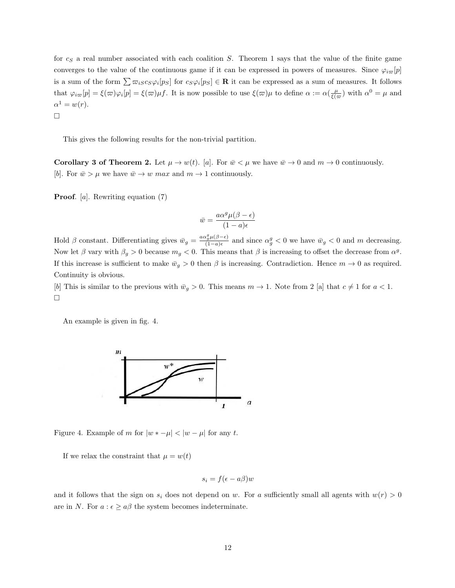for  $c_S$  a real number associated with each coalition S. Theorem 1 says that the value of the finite game converges to the value of the continuous game if it can be expressed in powers of measures. Since  $\varphi_{i\varpi}[p]$ is a sum of the form  $\sum \varpi_{iS}c_S\varphi_i[p_S]$  for  $c_S\varphi_i[p_S] \in \mathbf{R}$  it can be expressed as a sum of measures. It follows that  $\varphi_{i\varpi}[p] = \xi(\varpi)\varphi_i[p] = \xi(\varpi)\mu f$ . It is now possible to use  $\xi(\varpi)\mu$  to define  $\alpha := \alpha(\frac{\mu}{\xi(\varpi)})$  with  $\alpha^0 = \mu$  and  $\alpha^1 = w(r)$ .  $\Box$ 

This gives the following results for the non-trivial partition.

**Corollary 3 of Theorem 2.** Let  $\mu \to w(t)$ . [a]. For  $\bar{w} < \mu$  we have  $\bar{w} \to 0$  and  $m \to 0$  continuously. [b]. For  $\bar{w} > \mu$  we have  $\bar{w} \to w$  max and  $m \to 1$  continuously.

Proof. [a]. Rewriting equation (7)

$$
\bar{w} = \frac{a\alpha^g \mu(\beta - \epsilon)}{(1 - a)\epsilon}
$$

Hold  $\beta$  constant. Differentiating gives  $\bar{w}_g = \frac{a\alpha_g^g \mu(\beta - \epsilon)}{(1 - a)\epsilon}$  $\frac{\partial \psi_g^{\alpha}(\beta) - \epsilon_j}{(1 - a)\epsilon}$  and since  $\alpha_g^g < 0$  we have  $\bar{w}_g < 0$  and m decreasing. Now let  $\beta$  vary with  $\beta_g > 0$  because  $m_g < 0$ . This means that  $\beta$  is increasing to offset the decrease from  $\alpha^g$ . If this increase is sufficient to make  $\bar{w}_g > 0$  then  $\beta$  is increasing. Contradiction. Hence  $m \to 0$  as required. Continuity is obvious.

[b] This is similar to the previous with  $\bar{w}_q > 0$ . This means  $m \to 1$ . Note from 2 [a] that  $c \neq 1$  for  $a < 1$ .  $\Box$ 

An example is given in fig. 4.



Figure 4. Example of m for  $|w * -\mu| < |w - \mu|$  for any t.

If we relax the constraint that  $\mu = w(t)$ 

$$
s_i = f(\epsilon - a\beta)w
$$

and it follows that the sign on  $s_i$  does not depend on w. For a sufficiently small all agents with  $w(r) > 0$ are in N. For  $a : \epsilon \ge a\beta$  the system becomes indeterminate.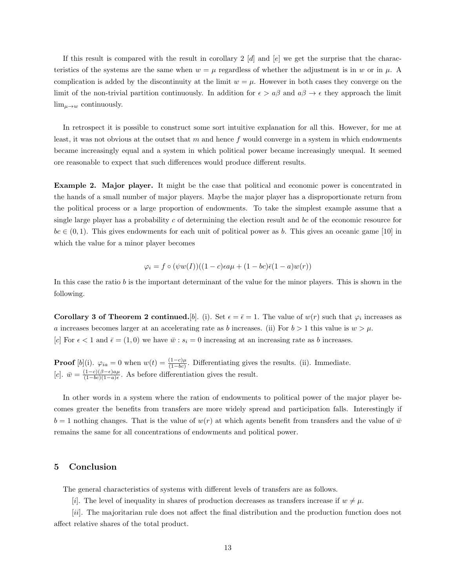If this result is compared with the result in corollary 2 [d] and [e] we get the surprise that the characteristics of the systems are the same when  $w = \mu$  regardless of whether the adjustment is in w or in  $\mu$ . A complication is added by the discontinuity at the limit  $w = \mu$ . However in both cases they converge on the limit of the non-trivial partition continuously. In addition for  $\epsilon > a\beta$  and  $a\beta \to \epsilon$  they approach the limit  $\lim_{\mu\to w}$  continuously.

In retrospect it is possible to construct some sort intuitive explanation for all this. However, for me at least, it was not obvious at the outset that m and hence f would converge in a system in which endowments became increasingly equal and a system in which political power became increasingly unequal. It seemed ore reasonable to expect that such differences would produce different results.

Example 2. Major player. It might be the case that political and economic power is concentrated in the hands of a small number of major players. Maybe the major player has a disproportionate return from the political process or a large proportion of endowments. To take the simplest example assume that a single large player has a probability  $c$  of determining the election result and  $bc$  of the economic resource for  $bc \in (0, 1)$ . This gives endowments for each unit of political power as b. This gives an oceanic game [10] in which the value for a minor player becomes

$$
\varphi_i = f \circ (\psi w(I))((1-c)\epsilon a\mu + (1-bc)\bar{\epsilon}(1-a)w(r))
$$

In this case the ratio  $b$  is the important determinant of the value for the minor players. This is shown in the following.

**Corollary 3 of Theorem 2 continued.** [b]. (i). Set  $\epsilon = \bar{\epsilon} = 1$ . The value of  $w(r)$  such that  $\varphi_i$  increases as a increases becomes larger at an accelerating rate as b increases. (ii) For  $b > 1$  this value is  $w > \mu$ . [c] For  $\epsilon < 1$  and  $\bar{\epsilon} = (1, 0)$  we have  $\bar{w} : s_i = 0$  increasing at an increasing rate as b increases.

**Proof** [b](i).  $\varphi_{ia} = 0$  when  $w(t) = \frac{(1-c)\mu}{(1-bc)}$ . Differentiating gives the results. (ii). Immediate.  $[c]$ .  $\bar{w} = \frac{(1-c)(\beta-\epsilon)a\mu}{(1-bc)(1-a)\epsilon}$  $\frac{(1-c)(\beta-\epsilon)a\mu}{(1-bc)(1-a)\epsilon}$ . As before differentiation gives the result.

In other words in a system where the ration of endowments to political power of the major player becomes greater the benefits from transfers are more widely spread and participation falls. Interestingly if  $b = 1$  nothing changes. That is the value of  $w(r)$  at which agents benefit from transfers and the value of  $\bar{w}$ remains the same for all concentrations of endowments and political power.

#### 5 Conclusion

The general characteristics of systems with different levels of transfers are as follows.

[i]. The level of inequality in shares of production decreases as transfers increase if  $w \neq \mu$ .

[ii]. The majoritarian rule does not affect the final distribution and the production function does not affect relative shares of the total product.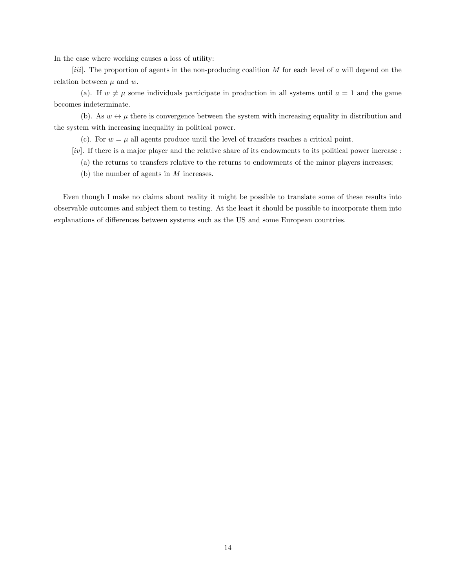In the case where working causes a loss of utility:

[iii]. The proportion of agents in the non-producing coalition  $M$  for each level of  $\alpha$  will depend on the relation between  $\mu$  and  $w$ .

(a). If  $w \neq \mu$  some individuals participate in production in all systems until  $a = 1$  and the game becomes indeterminate.

(b). As  $w \leftrightarrow \mu$  there is convergence between the system with increasing equality in distribution and the system with increasing inequality in political power.

(c). For  $w = \mu$  all agents produce until the level of transfers reaches a critical point.

[iv]. If there is a major player and the relative share of its endowments to its political power increase :

- (a) the returns to transfers relative to the returns to endowments of the minor players increases;
- (b) the number of agents in M increases.

Even though I make no claims about reality it might be possible to translate some of these results into observable outcomes and subject them to testing. At the least it should be possible to incorporate them into explanations of differences between systems such as the US and some European countries.